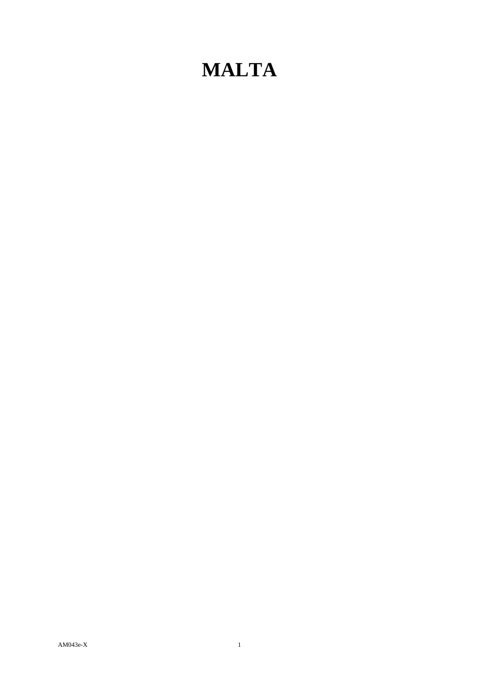## **MALTA**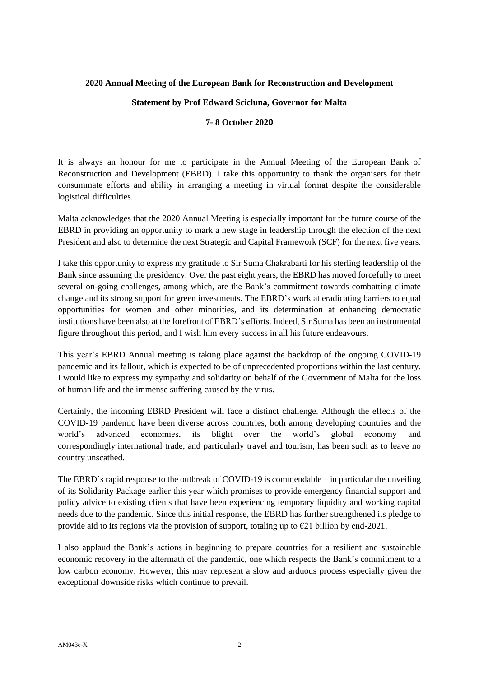## **2020 Annual Meeting of the European Bank for Reconstruction and Development**

## **Statement by Prof Edward Scicluna, Governor for Malta**

## **7- 8 October 2020**

It is always an honour for me to participate in the Annual Meeting of the European Bank of Reconstruction and Development (EBRD). I take this opportunity to thank the organisers for their consummate efforts and ability in arranging a meeting in virtual format despite the considerable logistical difficulties.

Malta acknowledges that the 2020 Annual Meeting is especially important for the future course of the EBRD in providing an opportunity to mark a new stage in leadership through the election of the next President and also to determine the next Strategic and Capital Framework (SCF) for the next five years.

I take this opportunity to express my gratitude to Sir Suma Chakrabarti for his sterling leadership of the Bank since assuming the presidency. Over the past eight years, the EBRD has moved forcefully to meet several on-going challenges, among which, are the Bank's commitment towards combatting climate change and its strong support for green investments. The EBRD's work at eradicating barriers to equal opportunities for women and other minorities, and its determination at enhancing democratic institutions have been also at the forefront of EBRD's efforts. Indeed, Sir Suma has been an instrumental figure throughout this period, and I wish him every success in all his future endeavours.

This year's EBRD Annual meeting is taking place against the backdrop of the ongoing COVID-19 pandemic and its fallout, which is expected to be of unprecedented proportions within the last century. I would like to express my sympathy and solidarity on behalf of the Government of Malta for the loss of human life and the immense suffering caused by the virus.

Certainly, the incoming EBRD President will face a distinct challenge. Although the effects of the COVID-19 pandemic have been diverse across countries, both among developing countries and the world's advanced economies, its blight over the world's global economy and correspondingly international trade, and particularly travel and tourism, has been such as to leave no country unscathed.

The EBRD's rapid response to the outbreak of COVID-19 is commendable – in particular the unveiling of its Solidarity Package earlier this year which promises to provide emergency financial support and policy advice to existing clients that have been experiencing temporary liquidity and working capital needs due to the pandemic. Since this initial response, the EBRD has further strengthened its pledge to provide aid to its regions via the provision of support, totaling up to  $\epsilon$ 21 billion by end-2021.

I also applaud the Bank's actions in beginning to prepare countries for a resilient and sustainable economic recovery in the aftermath of the pandemic, one which respects the Bank's commitment to a low carbon economy. However, this may represent a slow and arduous process especially given the exceptional downside risks which continue to prevail.